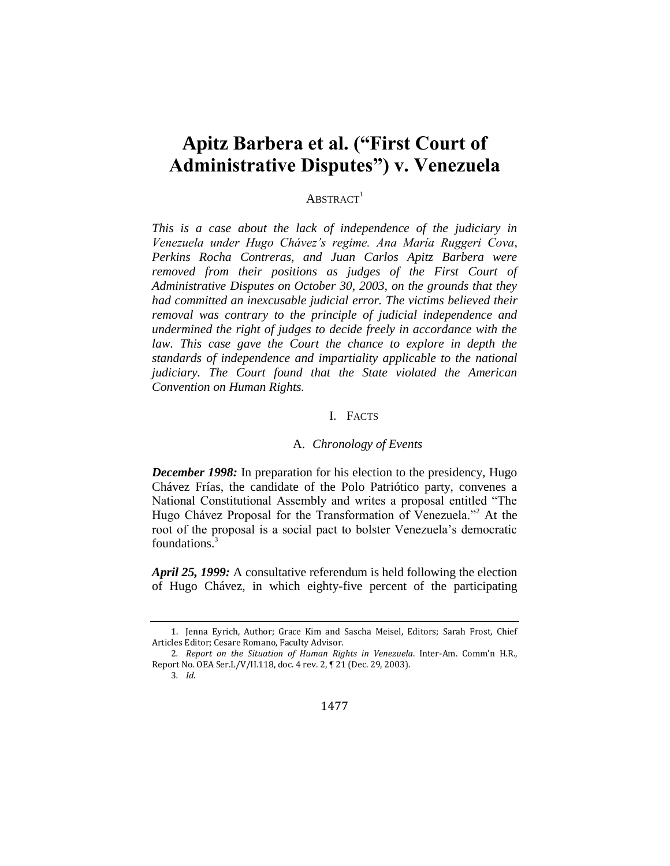# **Apitz Barbera et al. ("First Court of Administrative Disputes") v. Venezuela**

## $ABSTRACT<sup>1</sup>$

*This is a case about the lack of independence of the judiciary in Venezuela under Hugo Chávez's regime. Ana María Ruggeri Cova, Perkins Rocha Contreras, and Juan Carlos Apitz Barbera were removed from their positions as judges of the First Court of Administrative Disputes on October 30, 2003, on the grounds that they had committed an inexcusable judicial error. The victims believed their removal was contrary to the principle of judicial independence and undermined the right of judges to decide freely in accordance with the law. This case gave the Court the chance to explore in depth the standards of independence and impartiality applicable to the national judiciary. The Court found that the State violated the American Convention on Human Rights.*

#### I. FACTS

#### A. *Chronology of Events*

*December 1998:* In preparation for his election to the presidency, Hugo Chávez Frías, the candidate of the Polo Patriótico party, convenes a National Constitutional Assembly and writes a proposal entitled "The Hugo Chávez Proposal for the Transformation of Venezuela."<sup>2</sup> At the root of the proposal is a social pact to bolster Venezuela's democratic foundations.<sup>3</sup>

*April 25, 1999:* A consultative referendum is held following the election of Hugo Chávez, in which eighty-five percent of the participating

<sup>1.</sup> Jenna Eyrich, Author; Grace Kim and Sascha Meisel, Editors; Sarah Frost, Chief Articles Editor; Cesare Romano, Faculty Advisor.

<sup>2</sup>*. Report on the Situation of Human Rights in Venezuela*. Inter-Am. Comm'n H.R., Report No. OEA Ser.L/V/II.118, doc. 4 rev. 2, ¶ 21 (Dec. 29, 2003).

<sup>3</sup>*. Id*.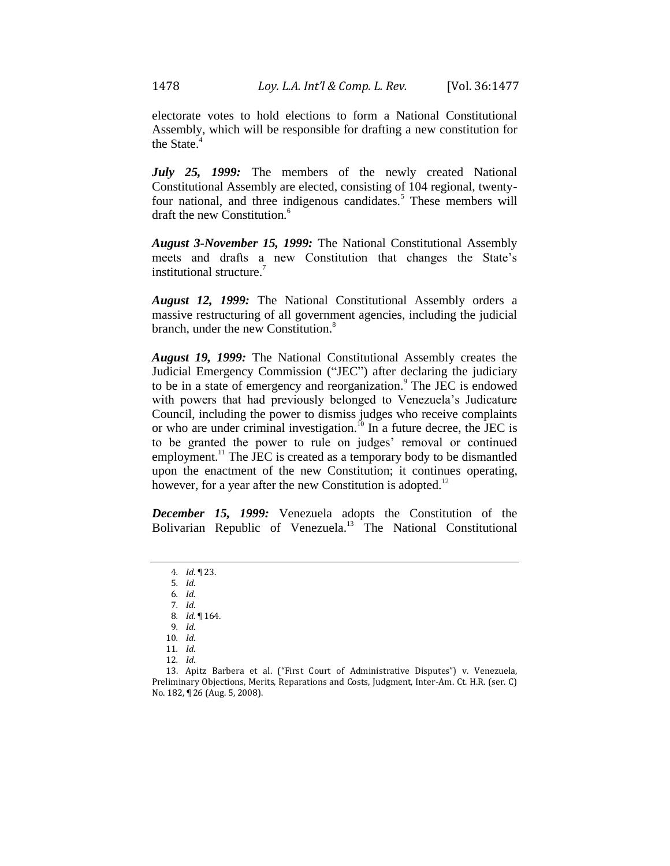electorate votes to hold elections to form a National Constitutional Assembly, which will be responsible for drafting a new constitution for the State. 4

*July 25, 1999:* The members of the newly created National Constitutional Assembly are elected, consisting of 104 regional, twentyfour national, and three indigenous candidates.<sup>5</sup> These members will draft the new Constitution.<sup>6</sup>

*August 3-November 15, 1999:* The National Constitutional Assembly meets and drafts a new Constitution that changes the State's institutional structure.<sup>7</sup>

*August 12, 1999:* The National Constitutional Assembly orders a massive restructuring of all government agencies, including the judicial branch, under the new Constitution.<sup>8</sup>

*August 19, 1999:* The National Constitutional Assembly creates the Judicial Emergency Commission ("JEC") after declaring the judiciary to be in a state of emergency and reorganization.<sup>9</sup> The JEC is endowed with powers that had previously belonged to Venezuela's Judicature Council, including the power to dismiss judges who receive complaints or who are under criminal investigation.<sup>10</sup> In a future decree, the JEC is to be granted the power to rule on judges' removal or continued employment.<sup>11</sup> The JEC is created as a temporary body to be dismantled upon the enactment of the new Constitution; it continues operating, however, for a year after the new Constitution is adopted.<sup>12</sup>

*December 15, 1999:* Venezuela adopts the Constitution of the Bolivarian Republic of Venezuela.<sup>13</sup> The National Constitutional

6*. Id.*

9*. Id*.

- 12*. Id*.
- 

<sup>4</sup>*. Id*. ¶ 23.

<sup>5</sup>*. Id*.

<sup>7</sup>*. Id*. 8*. Id.* ¶ 164.

<sup>10</sup>*. Id*.

<sup>11</sup>*. Id*.

<sup>13.</sup> Apitz Barbera et al. ("First Court of Administrative Disputes") v. Venezuela, Preliminary Objections, Merits, Reparations and Costs, Judgment, Inter-Am. Ct. H.R. (ser. C) No. 182, ¶ 26 (Aug. 5, 2008).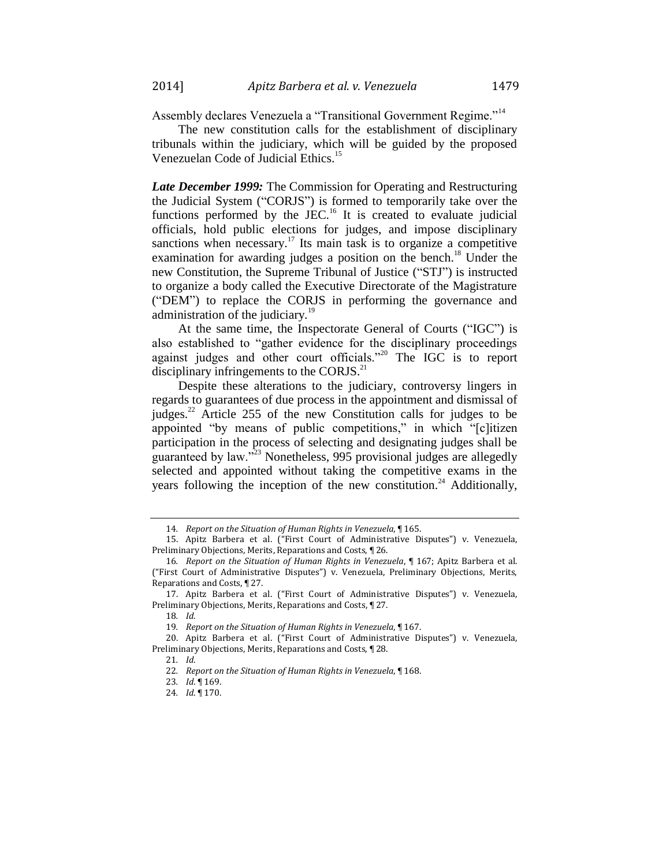Assembly declares Venezuela a "Transitional Government Regime."<sup>14</sup>

The new constitution calls for the establishment of disciplinary tribunals within the judiciary, which will be guided by the proposed Venezuelan Code of Judicial Ethics.<sup>15</sup>

*Late December 1999:* The Commission for Operating and Restructuring the Judicial System ("CORJS") is formed to temporarily take over the functions performed by the JEC.<sup>16</sup> It is created to evaluate judicial officials, hold public elections for judges, and impose disciplinary sanctions when necessary.<sup>17</sup> Its main task is to organize a competitive examination for awarding judges a position on the bench.<sup>18</sup> Under the new Constitution, the Supreme Tribunal of Justice ("STJ") is instructed to organize a body called the Executive Directorate of the Magistrature ("DEM") to replace the CORJS in performing the governance and administration of the judiciary.<sup>19</sup>

At the same time, the Inspectorate General of Courts ("IGC") is also established to "gather evidence for the disciplinary proceedings against judges and other court officials."<sup>20</sup> The IGC is to report disciplinary infringements to the CORJS. $^{21}$ 

Despite these alterations to the judiciary, controversy lingers in regards to guarantees of due process in the appointment and dismissal of judges.<sup>22</sup> Article 255 of the new Constitution calls for judges to be appointed "by means of public competitions," in which "[c]itizen participation in the process of selecting and designating judges shall be guaranteed by law."<sup>23</sup> Nonetheless, 995 provisional judges are allegedly selected and appointed without taking the competitive exams in the years following the inception of the new constitution.<sup>24</sup> Additionally,

<sup>14</sup>*. Report on the Situation of Human Rights in Venezuela*, ¶ 165.

<sup>15.</sup> Apitz Barbera et al. ("First Court of Administrative Disputes") v. Venezuela, Preliminary Objections, Merits, Reparations and Costs, ¶ 26.

<sup>16</sup>*. Report on the Situation of Human Rights in Venezuela*, ¶ 167; Apitz Barbera et al. ("First Court of Administrative Disputes") v. Venezuela, Preliminary Objections, Merits, Reparations and Costs, ¶ 27.

<sup>17.</sup> Apitz Barbera et al. ("First Court of Administrative Disputes") v. Venezuela, Preliminary Objections, Merits, Reparations and Costs, ¶ 27.

<sup>18</sup>*. Id*.

<sup>19</sup>*. Report on the Situation of Human Rights in Venezuela*, ¶ 167.

<sup>20.</sup> Apitz Barbera et al. ("First Court of Administrative Disputes") v. Venezuela, Preliminary Objections, Merits, Reparations and Costs, ¶ 28.

<sup>21</sup>*. Id*.

<sup>22</sup>*. Report on the Situation of Human Rights in Venezuela*, ¶ 168.

<sup>23</sup>*. Id*. ¶ 169.

<sup>24</sup>*. Id*. ¶ 170.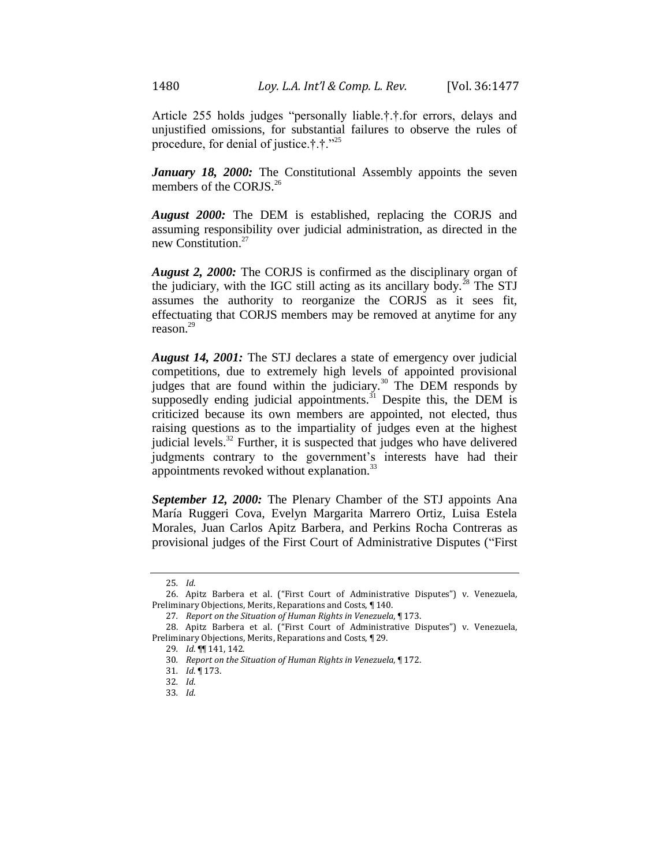Article 255 holds judges "personally liable.†.†.for errors, delays and unjustified omissions, for substantial failures to observe the rules of procedure, for denial of justice.†.†."<sup>25</sup>

*January 18, 2000:* The Constitutional Assembly appoints the seven members of the CORJS.<sup>26</sup>

*August 2000:* The DEM is established, replacing the CORJS and assuming responsibility over judicial administration, as directed in the new Constitution.<sup>27</sup>

*August 2, 2000:* The CORJS is confirmed as the disciplinary organ of the judiciary, with the IGC still acting as its ancillary body.<sup>28</sup> The STJ assumes the authority to reorganize the CORJS as it sees fit, effectuating that CORJS members may be removed at anytime for any reason. 29

*August 14, 2001:* The STJ declares a state of emergency over judicial competitions, due to extremely high levels of appointed provisional judges that are found within the judiciary.<sup>30</sup> The DEM responds by supposedly ending judicial appointments.<sup>31</sup> Despite this, the DEM is criticized because its own members are appointed, not elected, thus raising questions as to the impartiality of judges even at the highest judicial levels.<sup>32</sup> Further, it is suspected that judges who have delivered judgments contrary to the government's interests have had their appointments revoked without explanation.<sup>33</sup>

*September 12, 2000:* The Plenary Chamber of the STJ appoints Ana María Ruggeri Cova, Evelyn Margarita Marrero Ortiz, Luisa Estela Morales, Juan Carlos Apitz Barbera, and Perkins Rocha Contreras as provisional judges of the First Court of Administrative Disputes ("First

<sup>25</sup>*. Id*.

<sup>26.</sup> Apitz Barbera et al. ("First Court of Administrative Disputes") v. Venezuela, Preliminary Objections, Merits, Reparations and Costs, ¶ 140.

<sup>27</sup>*. Report on the Situation of Human Rights in Venezuela*, ¶ 173.

<sup>28.</sup> Apitz Barbera et al. ("First Court of Administrative Disputes") v. Venezuela, Preliminary Objections, Merits, Reparations and Costs, ¶ 29.

<sup>29</sup>*. Id*. ¶¶ 141, 142.

<sup>30</sup>*. Report on the Situation of Human Rights in Venezuela*, ¶ 172.

<sup>31</sup>*. Id*. ¶ 173.

<sup>32</sup>*. Id*.

<sup>33</sup>*. Id*.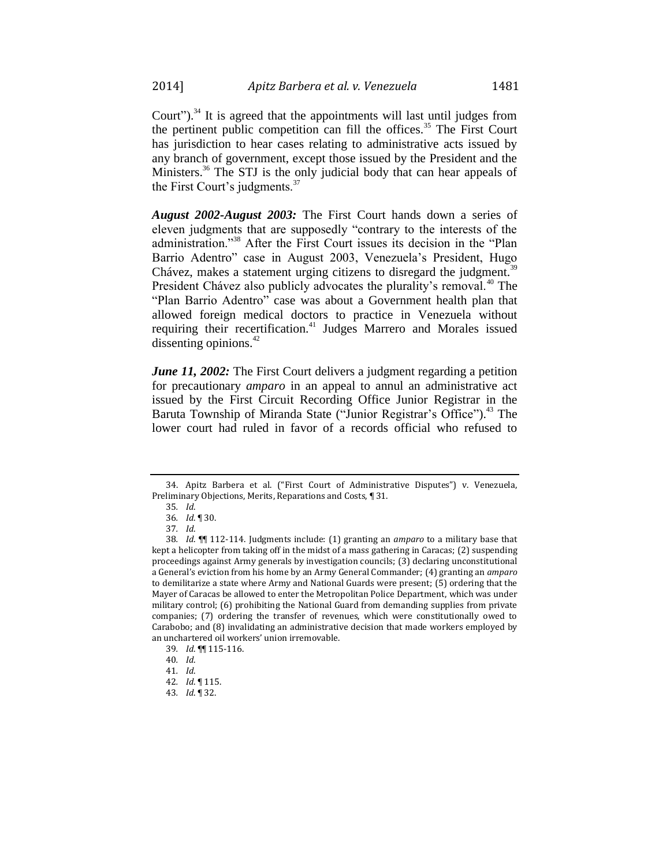Court").<sup>34</sup> It is agreed that the appointments will last until judges from the pertinent public competition can fill the offices.<sup>35</sup> The First Court has jurisdiction to hear cases relating to administrative acts issued by any branch of government, except those issued by the President and the Ministers.<sup>36</sup> The STJ is the only judicial body that can hear appeals of the First Court's judgments.<sup>37</sup>

*August 2002-August 2003:* The First Court hands down a series of eleven judgments that are supposedly "contrary to the interests of the administration."<sup>38</sup> After the First Court issues its decision in the "Plan Barrio Adentro" case in August 2003, Venezuela's President, Hugo Chávez, makes a statement urging citizens to disregard the judgment.<sup>39</sup> President Chávez also publicly advocates the plurality's removal.<sup>40</sup> The "Plan Barrio Adentro" case was about a Government health plan that allowed foreign medical doctors to practice in Venezuela without requiring their recertification.<sup>41</sup> Judges Marrero and Morales issued dissenting opinions. $42$ 

*June 11, 2002:* The First Court delivers a judgment regarding a petition for precautionary *amparo* in an appeal to annul an administrative act issued by the First Circuit Recording Office Junior Registrar in the Baruta Township of Miranda State ("Junior Registrar's Office").<sup>43</sup> The lower court had ruled in favor of a records official who refused to

<sup>34.</sup> Apitz Barbera et al. ("First Court of Administrative Disputes") v. Venezuela, Preliminary Objections, Merits, Reparations and Costs, ¶ 31.

<sup>35</sup>*. Id*.

<sup>36</sup>*. Id*. ¶ 30.

<sup>37</sup>*. Id*.

<sup>38</sup>*. Id*. ¶¶ 112-114. Judgments include: (1) granting an *amparo* to a military base that kept a helicopter from taking off in the midst of a mass gathering in Caracas; (2) suspending proceedings against Army generals by investigation councils; (3) declaring unconstitutional a General's eviction from his home by an Army General Commander; (4) granting an *amparo* to demilitarize a state where Army and National Guards were present; (5) ordering that the Mayer of Caracas be allowed to enter the Metropolitan Police Department, which was under military control; (6) prohibiting the National Guard from demanding supplies from private companies; (7) ordering the transfer of revenues, which were constitutionally owed to Carabobo; and (8) invalidating an administrative decision that made workers employed by an unchartered oil workers' union irremovable.

<sup>39</sup>*. Id*. ¶¶ 115-116.

<sup>40</sup>*. Id*.

<sup>41</sup>*. Id*.

<sup>42</sup>*. Id*. ¶ 115.

<sup>43</sup>*. Id*. ¶ 32.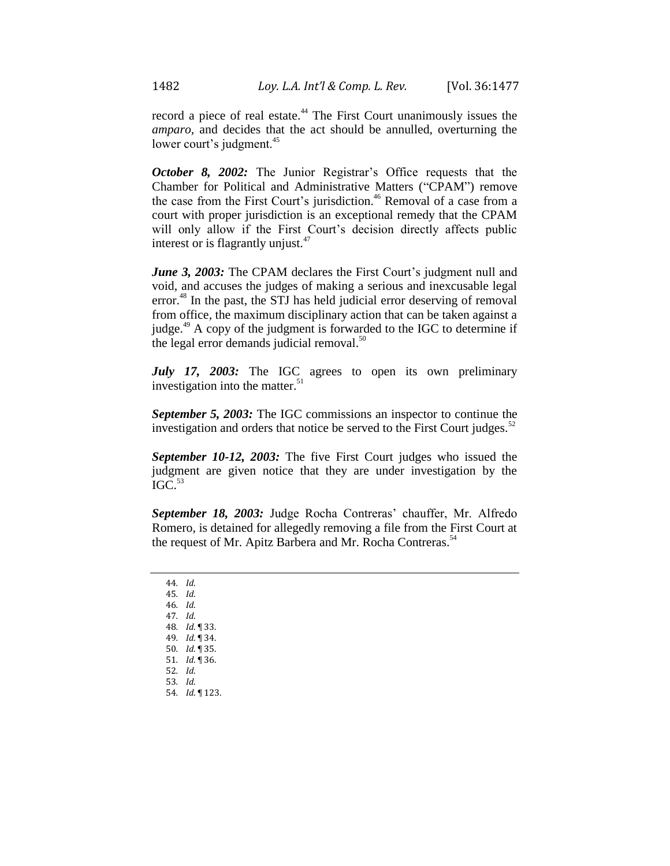record a piece of real estate.<sup>44</sup> The First Court unanimously issues the *amparo*, and decides that the act should be annulled, overturning the lower court's judgment.<sup>45</sup>

*October 8, 2002:* The Junior Registrar's Office requests that the Chamber for Political and Administrative Matters ("CPAM") remove the case from the First Court's jurisdiction.<sup>46</sup> Removal of a case from a court with proper jurisdiction is an exceptional remedy that the CPAM will only allow if the First Court's decision directly affects public interest or is flagrantly unjust. $47$ 

June 3, 2003: The CPAM declares the First Court's judgment null and void, and accuses the judges of making a serious and inexcusable legal error.<sup>48</sup> In the past, the STJ has held judicial error deserving of removal from office, the maximum disciplinary action that can be taken against a judge.<sup>49</sup> A copy of the judgment is forwarded to the IGC to determine if the legal error demands judicial removal. $50$ 

*July 17, 2003:* The IGC agrees to open its own preliminary investigation into the matter. $51$ 

*September 5, 2003:* The IGC commissions an inspector to continue the investigation and orders that notice be served to the First Court judges.<sup>52</sup>

*September 10-12, 2003:* The five First Court judges who issued the judgment are given notice that they are under investigation by the  $IGC$ <sup>53</sup>

*September 18, 2003:* Judge Rocha Contreras' chauffer, Mr. Alfredo Romero, is detained for allegedly removing a file from the First Court at the request of Mr. Apitz Barbera and Mr. Rocha Contreras.<sup>54</sup>

44*. Id*. 45*. Id*. 46*. Id*. 47*. Id*. 48*. Id*. ¶ 33. 49*. Id*. ¶ 34. 50*. Id*. ¶ 35. 51*. Id*. ¶ 36. 52*. Id*. 53*. Id*. 54*. Id*. ¶ 123.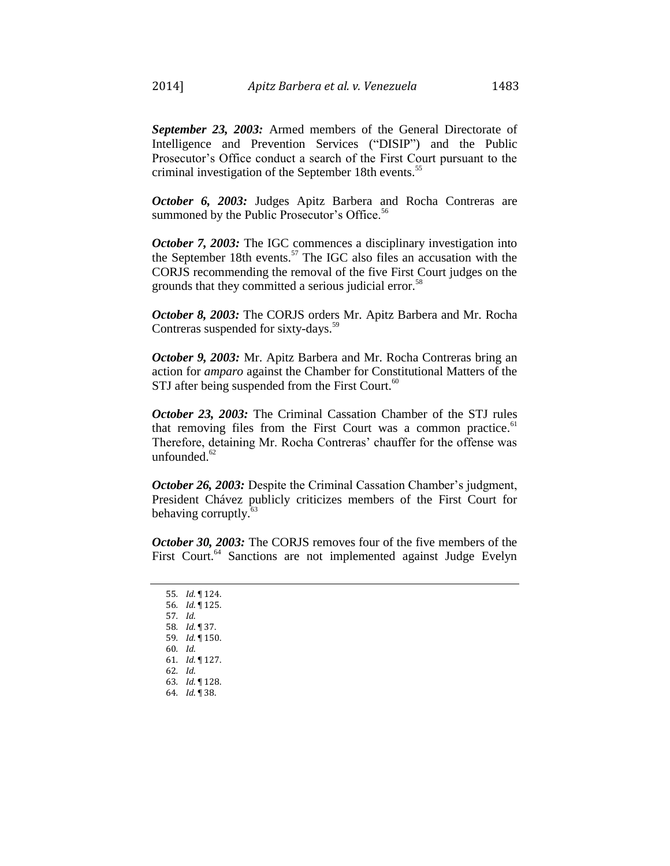*September 23, 2003:* Armed members of the General Directorate of Intelligence and Prevention Services ("DISIP") and the Public Prosecutor's Office conduct a search of the First Court pursuant to the criminal investigation of the September 18th events.<sup>55</sup>

*October 6, 2003:* Judges Apitz Barbera and Rocha Contreras are summoned by the Public Prosecutor's Office.<sup>56</sup>

*October 7, 2003:* The IGC commences a disciplinary investigation into the September 18th events.<sup>57</sup> The IGC also files an accusation with the CORJS recommending the removal of the five First Court judges on the grounds that they committed a serious judicial error.<sup>58</sup>

*October 8, 2003:* The CORJS orders Mr. Apitz Barbera and Mr. Rocha Contreras suspended for sixty-days.<sup>59</sup>

*October 9, 2003:* Mr. Apitz Barbera and Mr. Rocha Contreras bring an action for *amparo* against the Chamber for Constitutional Matters of the STJ after being suspended from the First Court.<sup>60</sup>

*October 23, 2003:* The Criminal Cassation Chamber of the STJ rules that removing files from the First Court was a common practice.<sup>61</sup> Therefore, detaining Mr. Rocha Contreras' chauffer for the offense was unfounded. $62$ 

*October 26, 2003:* Despite the Criminal Cassation Chamber's judgment, President Chávez publicly criticizes members of the First Court for behaving corruptly. $63$ 

*October 30, 2003:* The CORJS removes four of the five members of the First Court.<sup>64</sup> Sanctions are not implemented against Judge Evelyn

*. Id*. ¶ 124. *. Id*. ¶ 125. 57*. Id*. *. Id*. ¶ 37. *. Id*. ¶ 150. 60*. Id*. *. Id*. ¶ 127. 62*. Id*. *. Id*. ¶ 128. *. Id*. ¶ 38.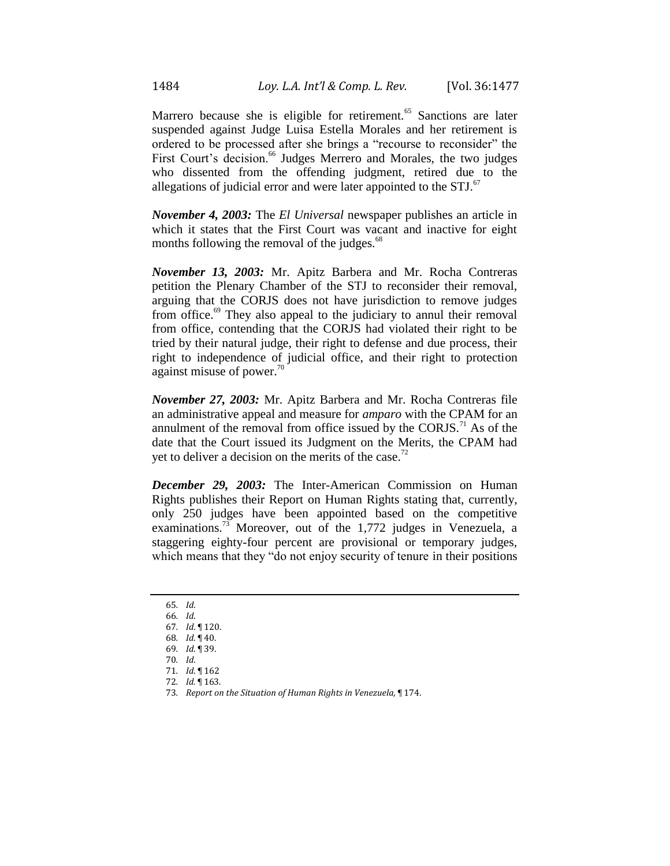Marrero because she is eligible for retirement.<sup>65</sup> Sanctions are later suspended against Judge Luisa Estella Morales and her retirement is ordered to be processed after she brings a "recourse to reconsider" the First Court's decision.<sup>66</sup> Judges Merrero and Morales, the two judges who dissented from the offending judgment, retired due to the allegations of judicial error and were later appointed to the  $STJ$ .<sup>67</sup>

*November 4, 2003:* The *El Universal* newspaper publishes an article in which it states that the First Court was vacant and inactive for eight months following the removal of the judges.<sup>68</sup>

*November 13, 2003:* Mr. Apitz Barbera and Mr. Rocha Contreras petition the Plenary Chamber of the STJ to reconsider their removal, arguing that the CORJS does not have jurisdiction to remove judges from office.<sup>69</sup> They also appeal to the judiciary to annul their removal from office, contending that the CORJS had violated their right to be tried by their natural judge, their right to defense and due process, their right to independence of judicial office, and their right to protection against misuse of power. $\frac{70}{2}$ 

*November 27, 2003:* Mr. Apitz Barbera and Mr. Rocha Contreras file an administrative appeal and measure for *amparo* with the CPAM for an annulment of the removal from office issued by the  $CORJS<sup>71</sup>$  As of the date that the Court issued its Judgment on the Merits, the CPAM had yet to deliver a decision on the merits of the case.<sup>72</sup>

*December 29, 2003:* The Inter-American Commission on Human Rights publishes their Report on Human Rights stating that, currently, only 250 judges have been appointed based on the competitive examinations.<sup>73</sup> Moreover, out of the 1,772 judges in Venezuela, a staggering eighty-four percent are provisional or temporary judges, which means that they "do not enjoy security of tenure in their positions

65*. Id*.

<sup>66</sup>*. Id*. 67*. Id*. ¶ 120.

<sup>68</sup>*. Id*. ¶ 40.

<sup>69</sup>*. Id*. ¶ 39.

<sup>70</sup>*. Id*.

<sup>71</sup>*. Id*. ¶ 162

<sup>72</sup>*. Id.* ¶ 163.

<sup>73</sup>*. Report on the Situation of Human Rights in Venezuela*, ¶ 174.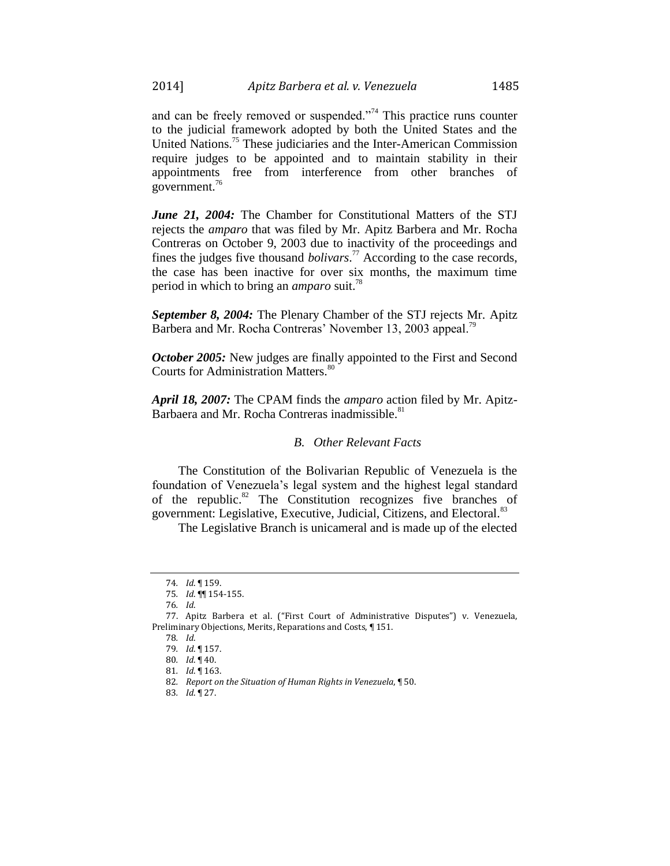and can be freely removed or suspended. $274$  This practice runs counter to the judicial framework adopted by both the United States and the United Nations.<sup>75</sup> These judiciaries and the Inter-American Commission require judges to be appointed and to maintain stability in their appointments free from interference from other branches of government. $76$ 

*June 21, 2004:* The Chamber for Constitutional Matters of the STJ rejects the *amparo* that was filed by Mr. Apitz Barbera and Mr. Rocha Contreras on October 9, 2003 due to inactivity of the proceedings and fines the judges five thousand *bolivars*. <sup>77</sup> According to the case records, the case has been inactive for over six months, the maximum time period in which to bring an *amparo* suit.<sup>78</sup>

*September 8, 2004:* The Plenary Chamber of the STJ rejects Mr. Apitz Barbera and Mr. Rocha Contreras' November 13, 2003 appeal.<sup>79</sup>

*October 2005:* New judges are finally appointed to the First and Second Courts for Administration Matters.<sup>80</sup>

*April 18, 2007:* The CPAM finds the *amparo* action filed by Mr. Apitz-Barbaera and Mr. Rocha Contreras inadmissible.<sup>81</sup>

#### *B. Other Relevant Facts*

The Constitution of the Bolivarian Republic of Venezuela is the foundation of Venezuela's legal system and the highest legal standard of the republic.<sup>82</sup> The Constitution recognizes five branches of government: Legislative, Executive, Judicial, Citizens, and Electoral.<sup>83</sup>

The Legislative Branch is unicameral and is made up of the elected

<sup>74</sup>*. Id*. ¶ 159.

<sup>75</sup>*. Id*. ¶¶ 154-155.

<sup>76</sup>*. Id*.

<sup>77.</sup> Apitz Barbera et al. ("First Court of Administrative Disputes") v. Venezuela, Preliminary Objections, Merits, Reparations and Costs, ¶ 151.

<sup>78</sup>*. Id*.

<sup>79</sup>*. Id*. ¶ 157.

<sup>80</sup>*. Id*. ¶ 40.

<sup>81</sup>*. Id*. ¶ 163.

<sup>82</sup>*. Report on the Situation of Human Rights in Venezuela*, ¶ 50.

<sup>83</sup>*. Id*. ¶ 27.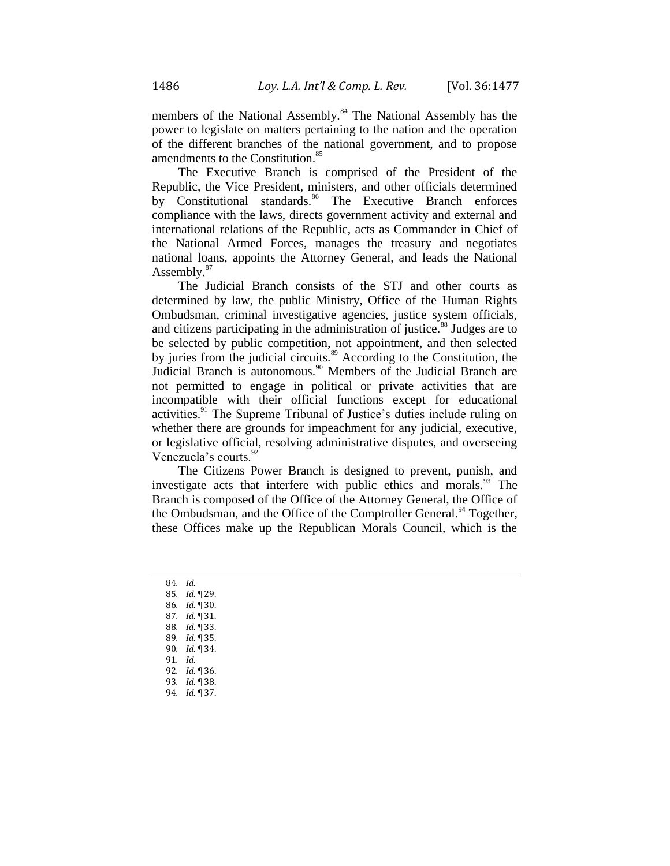members of the National Assembly.<sup>84</sup> The National Assembly has the power to legislate on matters pertaining to the nation and the operation of the different branches of the national government, and to propose amendments to the Constitution.<sup>85</sup>

The Executive Branch is comprised of the President of the Republic, the Vice President, ministers, and other officials determined by Constitutional standards.<sup>86</sup> The Executive Branch enforces compliance with the laws, directs government activity and external and international relations of the Republic, acts as Commander in Chief of the National Armed Forces, manages the treasury and negotiates national loans, appoints the Attorney General, and leads the National Assembly.<sup>87</sup>

The Judicial Branch consists of the STJ and other courts as determined by law, the public Ministry, Office of the Human Rights Ombudsman, criminal investigative agencies, justice system officials, and citizens participating in the administration of justice.<sup>88</sup> Judges are to be selected by public competition, not appointment, and then selected by juries from the judicial circuits.<sup>89</sup> According to the Constitution, the Judicial Branch is autonomous.<sup>90</sup> Members of the Judicial Branch are not permitted to engage in political or private activities that are incompatible with their official functions except for educational activities.<sup>91</sup> The Supreme Tribunal of Justice's duties include ruling on whether there are grounds for impeachment for any judicial, executive, or legislative official, resolving administrative disputes, and overseeing Venezuela's courts.<sup>92</sup>

The Citizens Power Branch is designed to prevent, punish, and investigate acts that interfere with public ethics and morals.<sup>93</sup> The Branch is composed of the Office of the Attorney General, the Office of the Ombudsman, and the Office of the Comptroller General.<sup>94</sup> Together, these Offices make up the Republican Morals Council, which is the

84*. Id*. *. Id*. ¶ 29. *. Id*. ¶ 30. *. Id*. ¶ 31. *. Id*. ¶ 33. *. Id*. ¶ 35. *. Id*. ¶ 34. 91*. Id*. *. Id*. ¶ 36. *. Id*. ¶ 38. *. Id*. ¶ 37.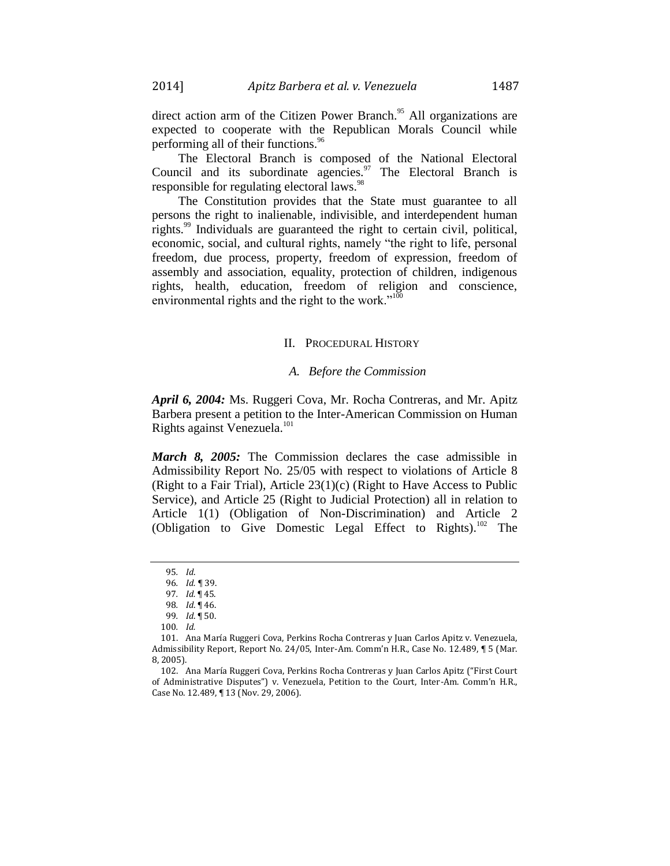direct action arm of the Citizen Power Branch.<sup>95</sup> All organizations are expected to cooperate with the Republican Morals Council while performing all of their functions.<sup>96</sup>

The Electoral Branch is composed of the National Electoral Council and its subordinate agencies. $\frac{97}{10}$  The Electoral Branch is responsible for regulating electoral laws.<sup>98</sup>

The Constitution provides that the State must guarantee to all persons the right to inalienable, indivisible, and interdependent human rights.<sup>99</sup> Individuals are guaranteed the right to certain civil, political, economic, social, and cultural rights, namely "the right to life, personal freedom, due process, property, freedom of expression, freedom of assembly and association, equality, protection of children, indigenous rights, health, education, freedom of religion and conscience, environmental rights and the right to the work."<sup>100</sup>

#### II. PROCEDURAL HISTORY

#### *A. Before the Commission*

*April 6, 2004:* Ms. Ruggeri Cova, Mr. Rocha Contreras, and Mr. Apitz Barbera present a petition to the Inter-American Commission on Human Rights against Venezuela.<sup>101</sup>

*March 8, 2005:* The Commission declares the case admissible in Admissibility Report No. 25/05 with respect to violations of Article 8 (Right to a Fair Trial), Article 23(1)(c) (Right to Have Access to Public Service), and Article 25 (Right to Judicial Protection) all in relation to Article 1(1) (Obligation of Non-Discrimination) and Article 2 (Obligation to Give Domestic Legal Effect to Rights).<sup>102</sup> The

<sup>95</sup>*. Id*.

<sup>96</sup>*. Id. ¶* 39.

<sup>97</sup>*. Id.* ¶ 45.

<sup>98</sup>*. Id*. ¶ 46.

<sup>99</sup>*. Id*. ¶ 50.

<sup>100</sup>*. Id.*

<sup>101.</sup> Ana María Ruggeri Cova, Perkins Rocha Contreras y Juan Carlos Apitz v. Venezuela, Admissibility Report, Report No. 24/05, Inter-Am. Comm'n H.R., Case No. 12.489, ¶ 5 (Mar. 8, 2005).

<sup>102.</sup> Ana María Ruggeri Cova, Perkins Rocha Contreras y Juan Carlos Apitz ("First Court of Administrative Disputes") v. Venezuela, Petition to the Court, Inter-Am. Comm'n H.R., Case No. 12.489, ¶ 13 (Nov. 29, 2006).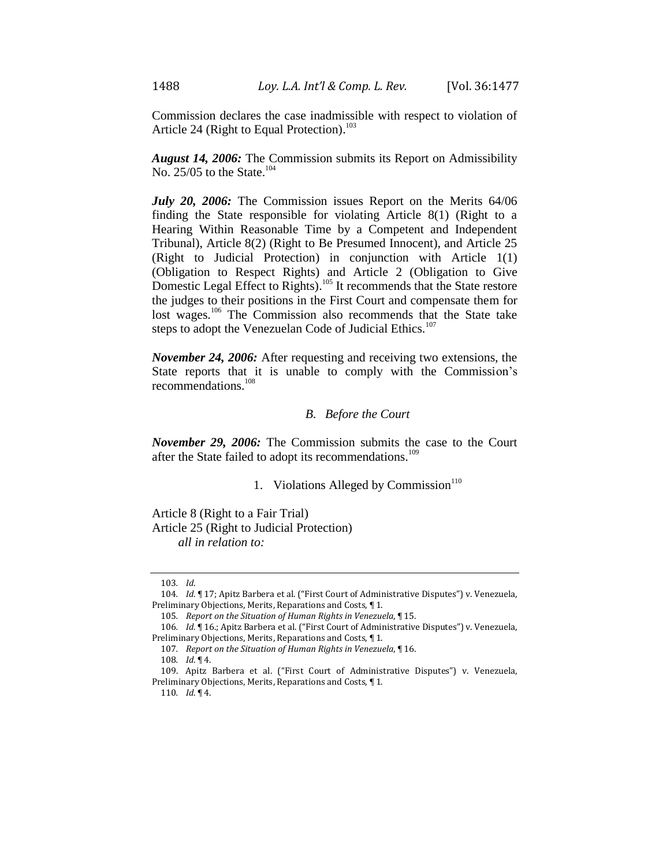Commission declares the case inadmissible with respect to violation of Article 24 (Right to Equal Protection).<sup>103</sup>

*August 14, 2006:* The Commission submits its Report on Admissibility No. 25/05 to the State.<sup>104</sup>

*July 20, 2006:* The Commission issues Report on the Merits 64/06 finding the State responsible for violating Article 8(1) (Right to a Hearing Within Reasonable Time by a Competent and Independent Tribunal), Article 8(2) (Right to Be Presumed Innocent), and Article 25 (Right to Judicial Protection) in conjunction with Article 1(1) (Obligation to Respect Rights) and Article 2 (Obligation to Give Domestic Legal Effect to Rights).<sup>105</sup> It recommends that the State restore the judges to their positions in the First Court and compensate them for lost wages.<sup>106</sup> The Commission also recommends that the State take steps to adopt the Venezuelan Code of Judicial Ethics.<sup>107</sup>

*November 24, 2006:* After requesting and receiving two extensions, the State reports that it is unable to comply with the Commission's recommendations.<sup>108</sup>

#### *B. Before the Court*

*November 29, 2006:* The Commission submits the case to the Court after the State failed to adopt its recommendations.<sup>109</sup>

1. Violations Alleged by Commission $110$ 

Article 8 (Right to a Fair Trial) Article 25 (Right to Judicial Protection)

*all in relation to:*

<sup>103</sup>*. Id*.

<sup>104</sup>*. Id*. ¶ 17; Apitz Barbera et al. ("First Court of Administrative Disputes") v. Venezuela, Preliminary Objections, Merits, Reparations and Costs, ¶ 1.

<sup>105</sup>*. Report on the Situation of Human Rights in Venezuela*, ¶ 15.

<sup>106</sup>*. Id*. ¶ 16.; Apitz Barbera et al. ("First Court of Administrative Disputes") v. Venezuela, Preliminary Objections, Merits, Reparations and Costs, ¶ 1.

<sup>107</sup>*. Report on the Situation of Human Rights in Venezuela*, ¶ 16.

<sup>108</sup>*. Id*. ¶ 4.

<sup>109.</sup> Apitz Barbera et al. ("First Court of Administrative Disputes") v. Venezuela, Preliminary Objections, Merits, Reparations and Costs, ¶ 1.

<sup>110</sup>*. Id*. ¶ 4.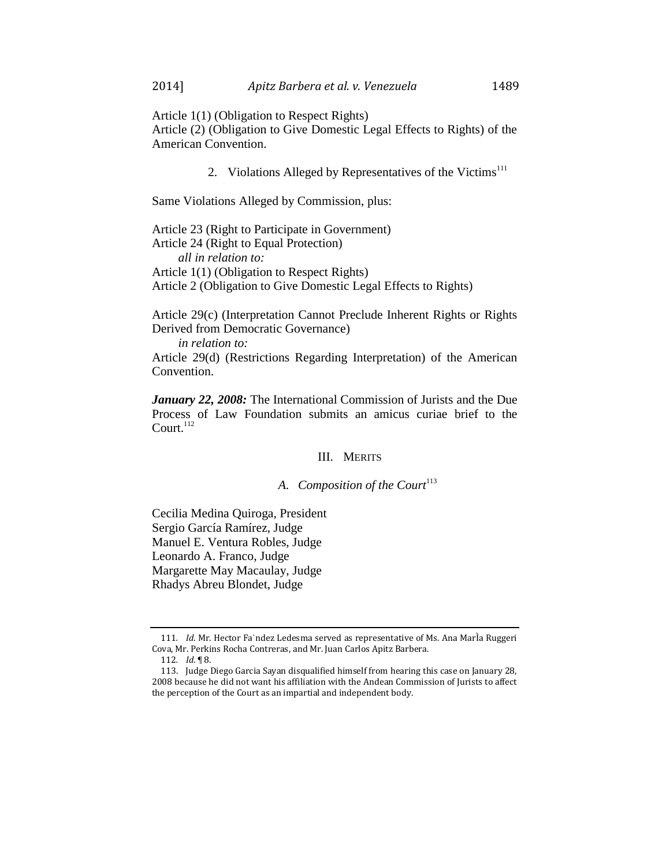Article 1(1) (Obligation to Respect Rights) Article (2) (Obligation to Give Domestic Legal Effects to Rights) of the American Convention.

2. Violations Alleged by Representatives of the Victims<sup>111</sup>

Same Violations Alleged by Commission, plus:

Article 23 (Right to Participate in Government) Article 24 (Right to Equal Protection) *all in relation to:* Article 1(1) (Obligation to Respect Rights) Article 2 (Obligation to Give Domestic Legal Effects to Rights)

Article 29(c) (Interpretation Cannot Preclude Inherent Rights or Rights Derived from Democratic Governance)

*in relation to:*

Article 29(d) (Restrictions Regarding Interpretation) of the American Convention.

*January 22, 2008:* The International Commission of Jurists and the Due Process of Law Foundation submits an amicus curiae brief to the Court. $^{112}$ 

#### III. MERITS

# A. Composition of the Court<sup>113</sup>

Cecilia Medina Quiroga, President Sergio García Ramírez, Judge Manuel E. Ventura Robles, Judge Leonardo A. Franco, Judge Margarette May Macaulay, Judge Rhadys Abreu Blondet, Judge

<sup>111</sup>*. Id*. Mr. Hector Fa˙ndez Ledesma served as representative of Ms. Ana MarÌa Ruggeri Cova, Mr. Perkins Rocha Contreras, and Mr. Juan Carlos Apitz Barbera.

<sup>112</sup>*. Id*. ¶ 8.

<sup>113.</sup> Judge Diego Garcia Sayan disqualified himself from hearing this case on January 28, 2008 because he did not want his affiliation with the Andean Commission of Jurists to affect the perception of the Court as an impartial and independent body.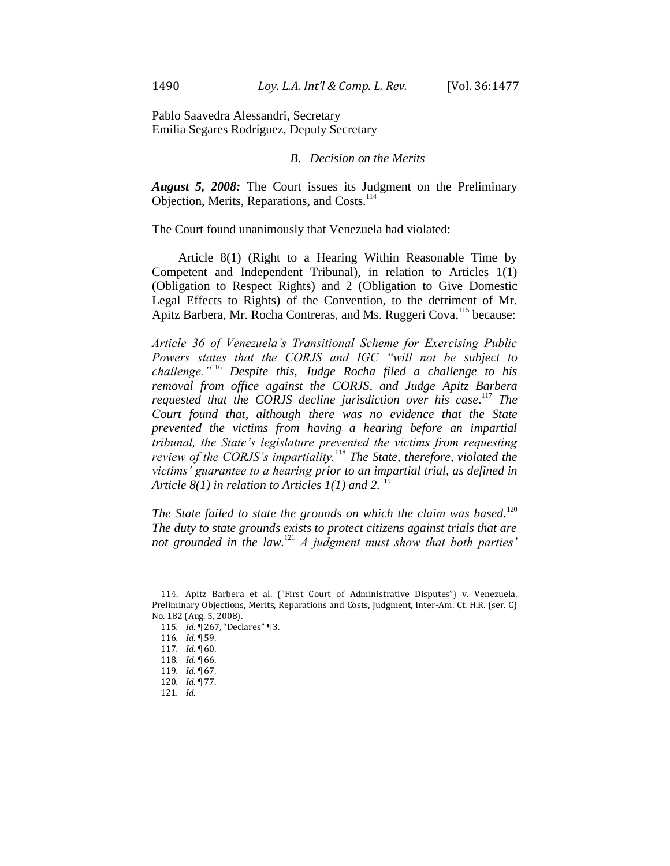Pablo Saavedra Alessandri, Secretary Emilia Segares Rodríguez, Deputy Secretary

#### *B. Decision on the Merits*

*August 5, 2008:* The Court issues its Judgment on the Preliminary Objection, Merits, Reparations, and Costs.<sup>114</sup>

The Court found unanimously that Venezuela had violated:

Article 8(1) (Right to a Hearing Within Reasonable Time by Competent and Independent Tribunal), in relation to Articles 1(1) (Obligation to Respect Rights) and 2 (Obligation to Give Domestic Legal Effects to Rights) of the Convention, to the detriment of Mr. Apitz Barbera, Mr. Rocha Contreras, and Ms. Ruggeri Cova,<sup>115</sup> because:

*Article 36 of Venezuela's Transitional Scheme for Exercising Public Powers states that the CORJS and IGC "will not be subject to challenge."*<sup>116</sup> *Despite this, Judge Rocha filed a challenge to his removal from office against the CORJS, and Judge Apitz Barbera* requested that the CORJS decline jurisdiction over his case.<sup>117</sup> The *Court found that, although there was no evidence that the State prevented the victims from having a hearing before an impartial tribunal, the State's legislature prevented the victims from requesting review of the CORJS's impartiality.*<sup>118</sup> *The State, therefore, violated the victims' guarantee to a hearing prior to an impartial trial, as defined in Article 8(1) in relation to Articles 1(1) and 2.*<sup>119</sup>

*The State failed to state the grounds on which the claim was based.*<sup>120</sup> *The duty to state grounds exists to protect citizens against trials that are not grounded in the law.*<sup>121</sup> *A judgment must show that both parties'* 

<sup>114.</sup> Apitz Barbera et al. ("First Court of Administrative Disputes") v. Venezuela, Preliminary Objections, Merits, Reparations and Costs, Judgment, Inter-Am. Ct. H.R. (ser. C) No. 182 (Aug. 5, 2008).

<sup>115</sup>*. Id*. ¶ 267, "Declares" ¶ 3.

<sup>116</sup>*. Id*. ¶ 59.

<sup>117</sup>*. Id*. ¶ 60.

<sup>118</sup>*. Id*. ¶ 66.

<sup>119</sup>*. Id*. ¶ 67.

<sup>120</sup>*. Id*. ¶ 77.

<sup>121</sup>*. Id*.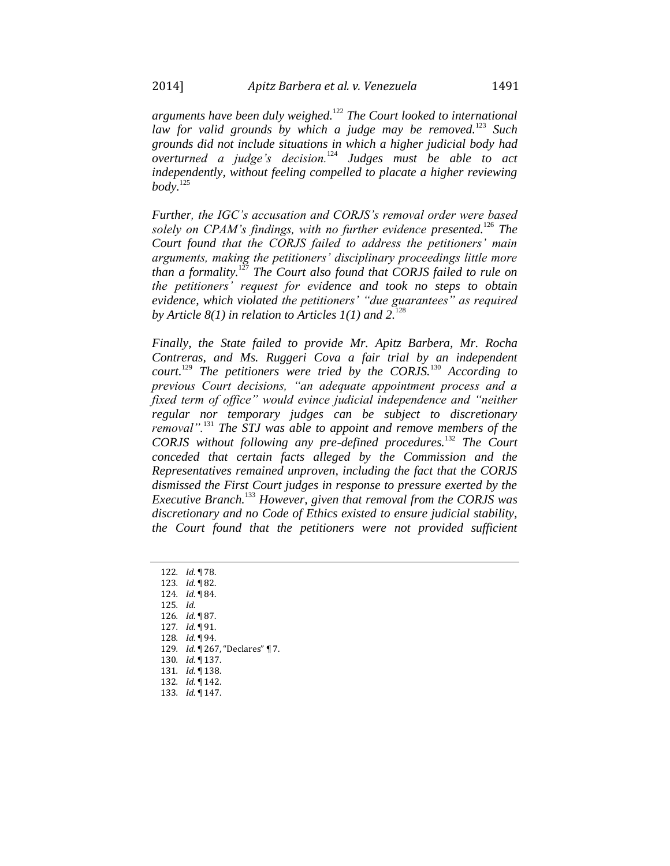*arguments have been duly weighed.*<sup>122</sup> *The Court looked to international law for valid grounds by which a judge may be removed.*<sup>123</sup> *Such grounds did not include situations in which a higher judicial body had overturned a judge's decision.*<sup>124</sup> *Judges must be able to act independently, without feeling compelled to placate a higher reviewing body.*<sup>125</sup>

*Further, the IGC's accusation and CORJS's removal order were based solely on CPAM's findings, with no further evidence presented.*<sup>126</sup> *The Court found that the CORJS failed to address the petitioners' main arguments, making the petitioners' disciplinary proceedings little more than a formality.*<sup>127</sup> *The Court also found that CORJS failed to rule on the petitioners' request for evidence and took no steps to obtain evidence, which violated the petitioners' "due guarantees" as required*  by Article  $8(1)$  in relation to Articles  $1(1)$  and  $2^{128}$ 

*Finally, the State failed to provide Mr. Apitz Barbera, Mr. Rocha Contreras, and Ms. Ruggeri Cova a fair trial by an independent court.*<sup>129</sup> *The petitioners were tried by the CORJS.*<sup>130</sup> *According to previous Court decisions, "an adequate appointment process and a fixed term of office" would evince judicial independence and "neither regular nor temporary judges can be subject to discretionary removal".*<sup>131</sup> *The STJ was able to appoint and remove members of the CORJS without following any pre-defined procedures.*<sup>132</sup> *The Court conceded that certain facts alleged by the Commission and the Representatives remained unproven, including the fact that the CORJS dismissed the First Court judges in response to pressure exerted by the Executive Branch.*<sup>133</sup> *However, given that removal from the CORJS was discretionary and no Code of Ethics existed to ensure judicial stability, the Court found that the petitioners were not provided sufficient* 

*. Id*. ¶ 78. *. Id*. ¶ 82. *. Id*. ¶ 84. 125*. Id*. *. Id*. ¶ 87. *. Id*. ¶ 91. *. Id*. ¶ 94. *. Id*. ¶ 267, "Declares" ¶ 7. *. Id*. ¶ 137. *. Id*. ¶ 138. *. Id*. ¶ 142. *. Id*. ¶ 147.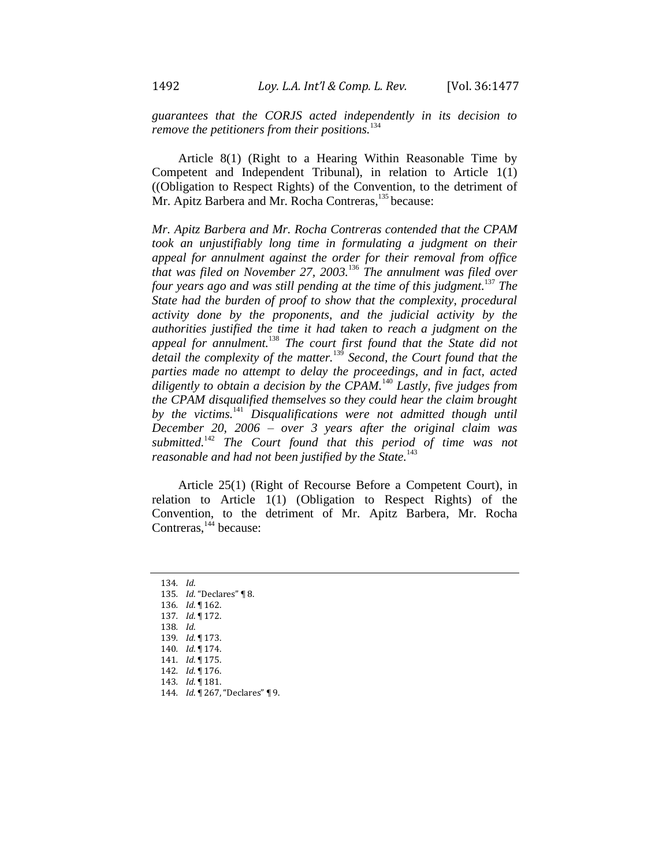*guarantees that the CORJS acted independently in its decision to remove the petitioners from their positions.*<sup>134</sup>

Article 8(1) (Right to a Hearing Within Reasonable Time by Competent and Independent Tribunal), in relation to Article 1(1) ((Obligation to Respect Rights) of the Convention, to the detriment of Mr. Apitz Barbera and Mr. Rocha Contreras,<sup>135</sup> because:

*Mr. Apitz Barbera and Mr. Rocha Contreras contended that the CPAM took an unjustifiably long time in formulating a judgment on their appeal for annulment against the order for their removal from office that was filed on November 27, 2003.*<sup>136</sup> *The annulment was filed over four years ago and was still pending at the time of this judgment.* <sup>137</sup> *The State had the burden of proof to show that the complexity, procedural activity done by the proponents, and the judicial activity by the authorities justified the time it had taken to reach a judgment on the appeal for annulment.*<sup>138</sup> *The court first found that the State did not detail the complexity of the matter.*<sup>139</sup> *Second, the Court found that the parties made no attempt to delay the proceedings, and in fact, acted diligently to obtain a decision by the CPAM.*<sup>140</sup> *Lastly, five judges from the CPAM disqualified themselves so they could hear the claim brought by the victims.*<sup>141</sup> *Disqualifications were not admitted though until December 20, 2006 – over 3 years after the original claim was submitted.*<sup>142</sup> *The Court found that this period of time was not reasonable and had not been justified by the State.*<sup>143</sup>

Article 25(1) (Right of Recourse Before a Competent Court), in relation to Article 1(1) (Obligation to Respect Rights) of the Convention, to the detriment of Mr. Apitz Barbera, Mr. Rocha Contreras,<sup>144</sup> because:

134*. Id*. *. Id*. "Declares" ¶ 8. *. Id*. ¶ 162. *. Id*. ¶ 172. 138*. Id*. *. Id*. ¶ 173. *. Id*. ¶ 174. *. Id*. ¶ 175. *. Id*. ¶ 176. *. Id*. ¶ 181. *. Id*. ¶ 267, "Declares" ¶ 9.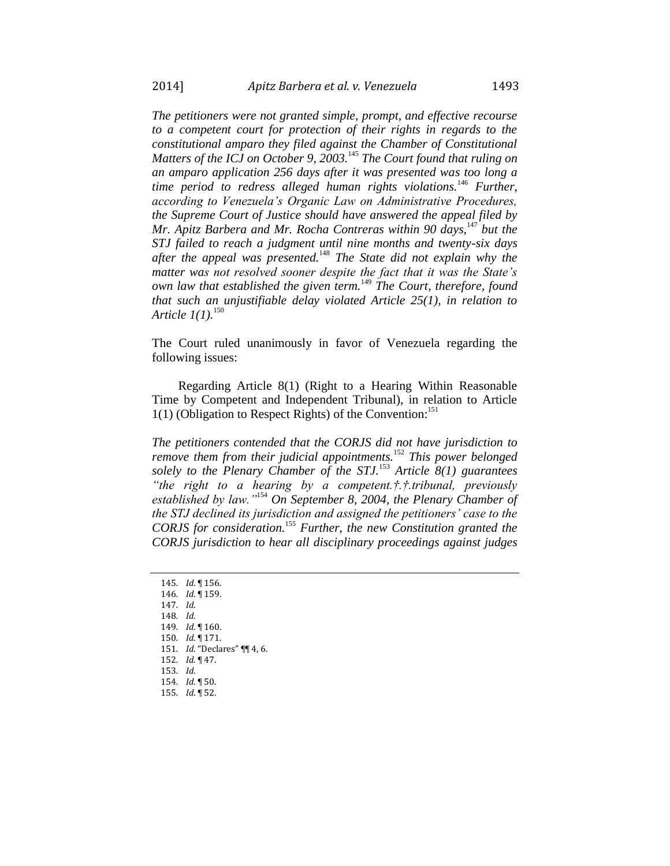*The petitioners were not granted simple, prompt, and effective recourse to a competent court for protection of their rights in regards to the constitutional amparo they filed against the Chamber of Constitutional Matters of the ICJ on October 9, 2003.*<sup>145</sup> *The Court found that ruling on an amparo application 256 days after it was presented was too long a time period to redress alleged human rights violations.*<sup>146</sup> *Further, according to Venezuela's Organic Law on Administrative Procedures, the Supreme Court of Justice should have answered the appeal filed by Mr. Apitz Barbera and Mr. Rocha Contreras within 90 days,*<sup>147</sup> *but the STJ failed to reach a judgment until nine months and twenty-six days after the appeal was presented.*<sup>148</sup> *The State did not explain why the matter was not resolved sooner despite the fact that it was the State's own law that established the given term.*<sup>149</sup> *The Court, therefore, found that such an unjustifiable delay violated Article 25(1), in relation to Article 1(1).*<sup>150</sup>

The Court ruled unanimously in favor of Venezuela regarding the following issues:

Regarding Article 8(1) (Right to a Hearing Within Reasonable Time by Competent and Independent Tribunal), in relation to Article  $1(1)$  (Obligation to Respect Rights) of the Convention:<sup>151</sup>

*The petitioners contended that the CORJS did not have jurisdiction to remove them from their judicial appointments.*<sup>152</sup> *This power belonged solely to the Plenary Chamber of the STJ.*<sup>153</sup> *Article 8(1) guarantees "the right to a hearing by a competent.†.†.tribunal, previously established by law."*<sup>154</sup> *On September 8, 2004, the Plenary Chamber of the STJ declined its jurisdiction and assigned the petitioners' case to the CORJS for consideration.*<sup>155</sup> *Further, the new Constitution granted the CORJS jurisdiction to hear all disciplinary proceedings against judges* 

*. Id*. ¶ 156. *. Id*. ¶ 159. 147*. Id*. 148*. Id*. *. Id*. ¶ 160. *. Id*. ¶ 171. *. Id*. "Declares" ¶¶ 4, 6. *. Id*. ¶ 47. 153*. Id*. *. Id*. ¶ 50. *. Id*. ¶ 52.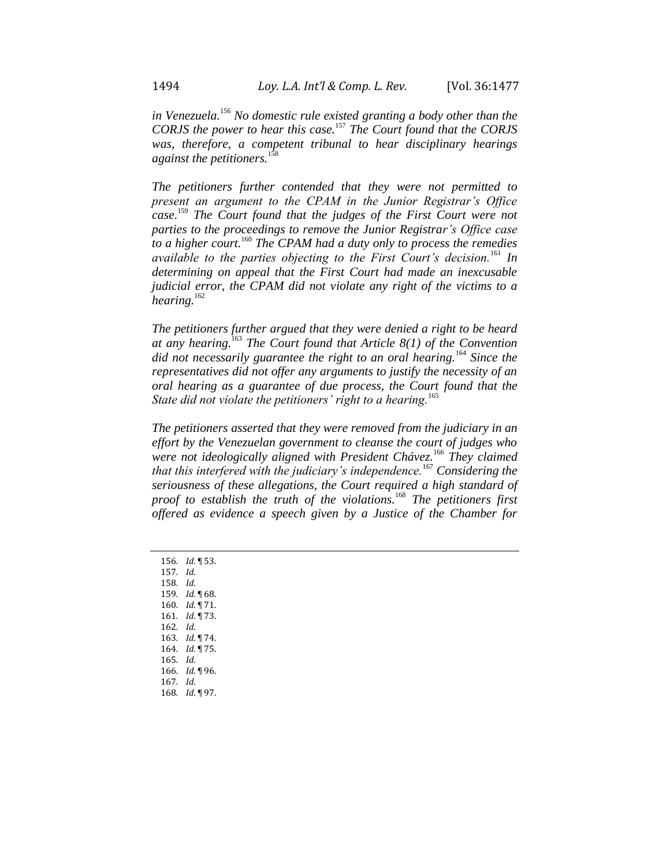*in Venezuela.*<sup>156</sup> *No domestic rule existed granting a body other than the CORJS the power to hear this case.*<sup>157</sup> *The Court found that the CORJS was, therefore, a competent tribunal to hear disciplinary hearings against the petitioners.*<sup>158</sup>

*The petitioners further contended that they were not permitted to present an argument to the CPAM in the Junior Registrar's Office case.* <sup>159</sup> *The Court found that the judges of the First Court were not parties to the proceedings to remove the Junior Registrar's Office case to a higher court.*<sup>160</sup> *The CPAM had a duty only to process the remedies available to the parties objecting to the First Court's decision.*<sup>161</sup> *In determining on appeal that the First Court had made an inexcusable judicial error, the CPAM did not violate any right of the victims to a hearing.*<sup>162</sup>

*The petitioners further argued that they were denied a right to be heard at any hearing.*<sup>163</sup> *The Court found that Article 8(1) of the Convention did not necessarily guarantee the right to an oral hearing.*<sup>164</sup> *Since the representatives did not offer any arguments to justify the necessity of an oral hearing as a guarantee of due process, the Court found that the State did not violate the petitioners' right to a hearing.*<sup>165</sup>

*The petitioners asserted that they were removed from the judiciary in an effort by the Venezuelan government to cleanse the court of judges who were not ideologically aligned with President Chávez.*<sup>166</sup> *They claimed that this interfered with the judiciary's independence.*<sup>167</sup> *Considering the seriousness of these allegations, the Court required a high standard of proof to establish the truth of the violations.*<sup>168</sup> *The petitioners first offered as evidence a speech given by a Justice of the Chamber for* 

*. Id*. ¶ 53. 157*. Id*. 158*. Id*. *. Id*. ¶ 68. *. Id*. ¶ 71. *. Id*. ¶ 73. 162*. Id*. *. Id*. ¶ 74. *. Id*. ¶ 75. 165*. Id*. *. Id*. ¶ 96. 167*. Id*. *. Id*. ¶ 97.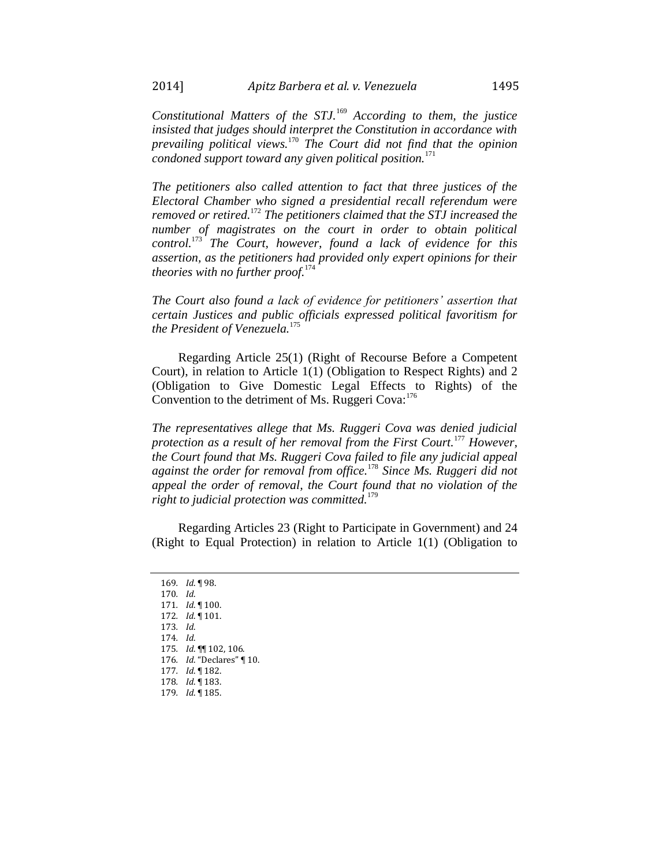*Constitutional Matters of the STJ.*<sup>169</sup> *According to them, the justice insisted that judges should interpret the Constitution in accordance with prevailing political views.*<sup>170</sup> *The Court did not find that the opinion condoned support toward any given political position.*<sup>171</sup>

*The petitioners also called attention to fact that three justices of the Electoral Chamber who signed a presidential recall referendum were removed or retired.*<sup>172</sup> *The petitioners claimed that the STJ increased the number of magistrates on the court in order to obtain political control.*<sup>173</sup> *The Court, however, found a lack of evidence for this assertion, as the petitioners had provided only expert opinions for their theories with no further proof.*<sup>174</sup>

*The Court also found a lack of evidence for petitioners' assertion that certain Justices and public officials expressed political favoritism for the President of Venezuela.*<sup>175</sup>

Regarding Article 25(1) (Right of Recourse Before a Competent Court), in relation to Article 1(1) (Obligation to Respect Rights) and 2 (Obligation to Give Domestic Legal Effects to Rights) of the Convention to the detriment of Ms. Ruggeri Cova: $176$ 

*The representatives allege that Ms. Ruggeri Cova was denied judicial protection as a result of her removal from the First Court.*<sup>177</sup> *However, the Court found that Ms. Ruggeri Cova failed to file any judicial appeal against the order for removal from office.*<sup>178</sup> *Since Ms. Ruggeri did not appeal the order of removal, the Court found that no violation of the right to judicial protection was committed.*<sup>179</sup>

Regarding Articles 23 (Right to Participate in Government) and 24 (Right to Equal Protection) in relation to Article 1(1) (Obligation to

<sup>169</sup>*. Id*. ¶ 98. 170*. Id*. 171*. Id*. ¶ 100. 172*. Id*. ¶ 101. 173*. Id*. 174*. Id*. 175*. Id*. ¶¶ 102, 106. 176*. Id*. "Declares" ¶ 10. 177*. Id*. ¶ 182. 178*. Id*. ¶ 183. 179*. Id*. ¶ 185.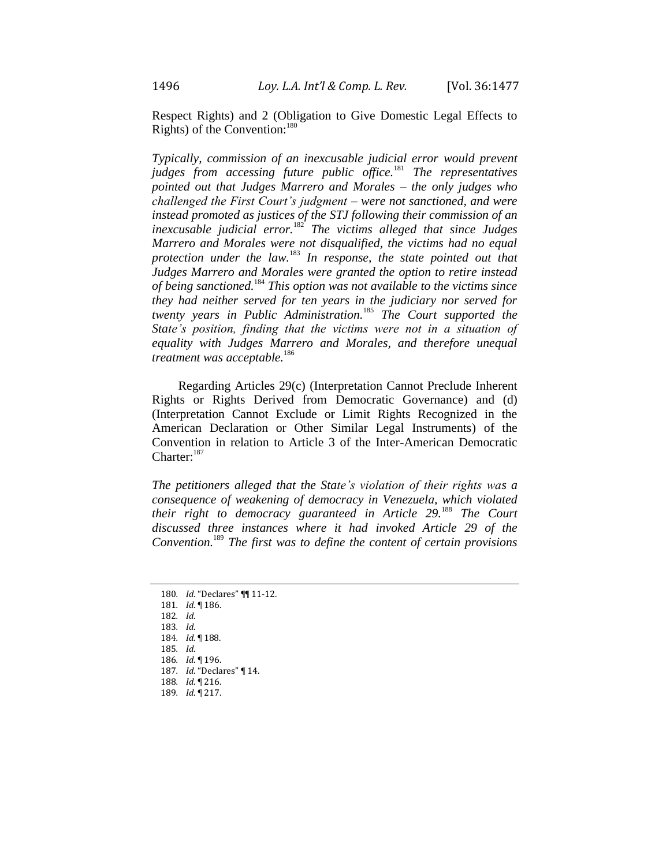Respect Rights) and 2 (Obligation to Give Domestic Legal Effects to Rights) of the Convention:<sup>180</sup>

*Typically, commission of an inexcusable judicial error would prevent judges from accessing future public office.*<sup>181</sup> *The representatives pointed out that Judges Marrero and Morales – the only judges who challenged the First Court's judgment – were not sanctioned, and were instead promoted as justices of the STJ following their commission of an inexcusable judicial error.*<sup>182</sup> *The victims alleged that since Judges Marrero and Morales were not disqualified, the victims had no equal protection under the law.*<sup>183</sup> *In response, the state pointed out that Judges Marrero and Morales were granted the option to retire instead of being sanctioned.*<sup>184</sup> *This option was not available to the victims since they had neither served for ten years in the judiciary nor served for twenty years in Public Administration.*<sup>185</sup> *The Court supported the State's position, finding that the victims were not in a situation of equality with Judges Marrero and Morales, and therefore unequal treatment was acceptable.*<sup>186</sup>

Regarding Articles 29(c) (Interpretation Cannot Preclude Inherent Rights or Rights Derived from Democratic Governance) and (d) (Interpretation Cannot Exclude or Limit Rights Recognized in the American Declaration or Other Similar Legal Instruments) of the Convention in relation to Article 3 of the Inter-American Democratic Charter: $187$ 

*The petitioners alleged that the State's violation of their rights was a consequence of weakening of democracy in Venezuela, which violated their right to democracy guaranteed in Article 29.*<sup>188</sup> *The Court discussed three instances where it had invoked Article 29 of the Convention.*<sup>189</sup> *The first was to define the content of certain provisions* 

<sup>180</sup>*. Id*. "Declares" ¶¶ 11-12. 181*. Id*. ¶ 186. 182*. Id*. 183*. Id*. 184*. Id.* ¶ 188. 185*. Id*. 186*. Id*. ¶ 196. 187*. Id*. "Declares" ¶ 14. 188*. Id*. ¶ 216. 189*. Id*. ¶ 217.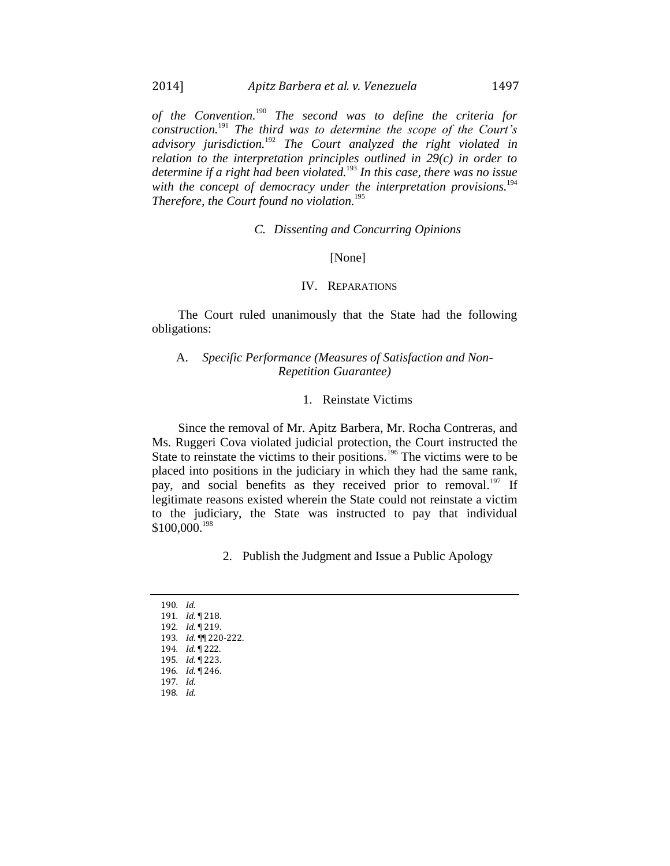*of the Convention.*<sup>190</sup> *The second was to define the criteria for construction.*<sup>191</sup> *The third was to determine the scope of the Court's advisory jurisdiction.*<sup>192</sup> *The Court analyzed the right violated in relation to the interpretation principles outlined in 29(c) in order to determine if a right had been violated.*<sup>193</sup> *In this case, there was no issue with the concept of democracy under the interpretation provisions.*<sup>194</sup> *Therefore, the Court found no violation.* 195

#### *C. Dissenting and Concurring Opinions*

#### [None]

#### IV. REPARATIONS

The Court ruled unanimously that the State had the following obligations:

#### A. *Specific Performance (Measures of Satisfaction and Non-Repetition Guarantee)*

#### 1. Reinstate Victims

Since the removal of Mr. Apitz Barbera, Mr. Rocha Contreras, and Ms. Ruggeri Cova violated judicial protection, the Court instructed the State to reinstate the victims to their positions.<sup>196</sup> The victims were to be placed into positions in the judiciary in which they had the same rank, pay, and social benefits as they received prior to removal.<sup>197</sup> If legitimate reasons existed wherein the State could not reinstate a victim to the judiciary, the State was instructed to pay that individual \$100,000.<sup>198</sup>

2. Publish the Judgment and Issue a Public Apology

190*. Id*. *. Id*. ¶ 218. *. Id*. ¶ 219. *. Id*. ¶¶ 220-222. *. Id.* ¶ 222. *. Id*. ¶ 223. *. Id*. ¶ 246. 197*. Id*. 198*. Id*.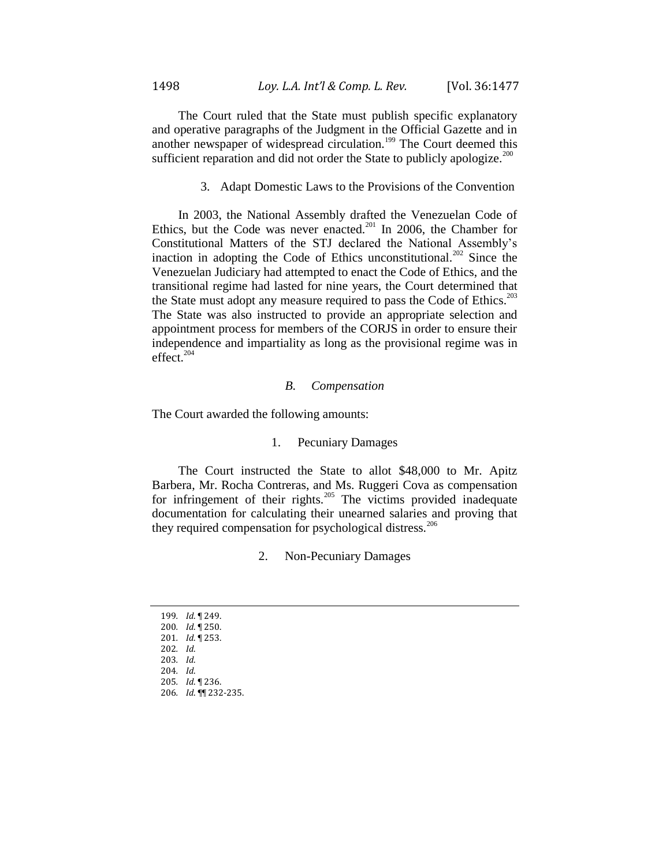The Court ruled that the State must publish specific explanatory and operative paragraphs of the Judgment in the Official Gazette and in another newspaper of widespread circulation.<sup>199</sup> The Court deemed this sufficient reparation and did not order the State to publicly apologize.<sup>200</sup>

3. Adapt Domestic Laws to the Provisions of the Convention

In 2003, the National Assembly drafted the Venezuelan Code of Ethics, but the Code was never enacted.<sup>201</sup> In 2006, the Chamber for Constitutional Matters of the STJ declared the National Assembly's inaction in adopting the Code of Ethics unconstitutional.<sup>202</sup> Since the Venezuelan Judiciary had attempted to enact the Code of Ethics, and the transitional regime had lasted for nine years, the Court determined that the State must adopt any measure required to pass the Code of Ethics.<sup>203</sup> The State was also instructed to provide an appropriate selection and appointment process for members of the CORJS in order to ensure their independence and impartiality as long as the provisional regime was in effect.<sup>204</sup>

#### *B. Compensation*

The Court awarded the following amounts:

#### 1. Pecuniary Damages

The Court instructed the State to allot \$48,000 to Mr. Apitz Barbera, Mr. Rocha Contreras, and Ms. Ruggeri Cova as compensation for infringement of their rights.<sup>205</sup> The victims provided inadequate documentation for calculating their unearned salaries and proving that they required compensation for psychological distress.<sup>206</sup>

2. Non-Pecuniary Damages

*. Id*. ¶ 249. *. Id*. ¶ 250. *. Id*. ¶ 253. 202*. Id*. 203*. Id*. 204*. Id*. *. Id*. ¶ 236. *. Id*. ¶¶ 232-235.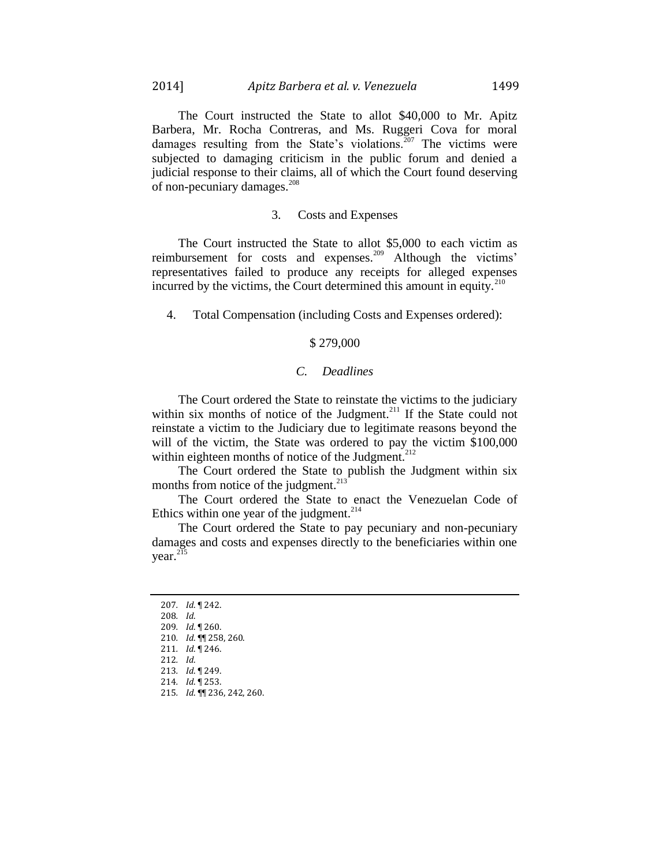The Court instructed the State to allot \$40,000 to Mr. Apitz Barbera, Mr. Rocha Contreras, and Ms. Ruggeri Cova for moral damages resulting from the State's violations.<sup>207</sup> The victims were subjected to damaging criticism in the public forum and denied a judicial response to their claims, all of which the Court found deserving of non-pecuniary damages.<sup>208</sup>

#### 3. Costs and Expenses

The Court instructed the State to allot \$5,000 to each victim as reimbursement for costs and expenses.<sup>209</sup> Although the victims' representatives failed to produce any receipts for alleged expenses incurred by the victims, the Court determined this amount in equity.<sup>210</sup>

4. Total Compensation (including Costs and Expenses ordered):

### \$ 279,000

#### *C. Deadlines*

The Court ordered the State to reinstate the victims to the judiciary within six months of notice of the Judgment.<sup>211</sup> If the State could not reinstate a victim to the Judiciary due to legitimate reasons beyond the will of the victim, the State was ordered to pay the victim \$100,000 within eighteen months of notice of the Judgment.<sup>212</sup>

The Court ordered the State to publish the Judgment within six months from notice of the judgment. $^{213}$ 

The Court ordered the State to enact the Venezuelan Code of Ethics within one year of the judgment. $2^{14}$ 

The Court ordered the State to pay pecuniary and non-pecuniary damages and costs and expenses directly to the beneficiaries within one year.<sup>215</sup>

- 207*. Id*. ¶ 242. 208*. Id*.
- 209*. Id*. ¶ 260.
- 210*. Id*. ¶¶ 258, 260.
- 211*. Id*. ¶ 246.
- 212*. Id*.
- 213*. Id*. ¶ 249.
- 214*. Id*. ¶ 253. 215*. Id*. ¶¶ 236, 242, 260.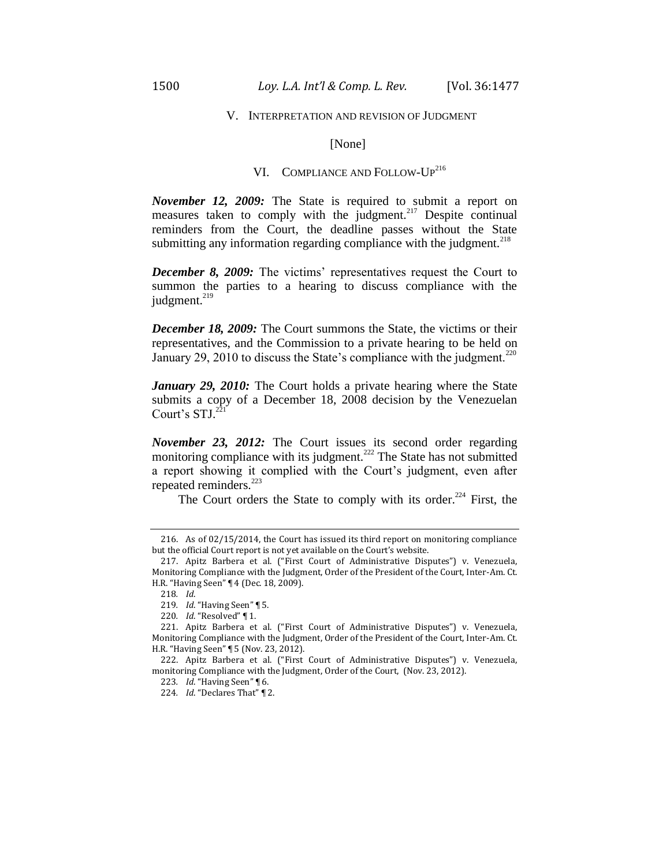#### V. INTERPRETATION AND REVISION OF JUDGMENT

#### [None]

# VI. COMPLIANCE AND FOLLOW-UP<sup>216</sup>

*November 12, 2009:* The State is required to submit a report on measures taken to comply with the judgment.<sup>217</sup> Despite continual reminders from the Court, the deadline passes without the State submitting any information regarding compliance with the judgment. $^{218}$ 

*December 8, 2009:* The victims' representatives request the Court to summon the parties to a hearing to discuss compliance with the judgment. $219$ 

*December 18, 2009:* The Court summons the State, the victims or their representatives, and the Commission to a private hearing to be held on January 29, 2010 to discuss the State's compliance with the judgment.<sup>220</sup>

*January 29, 2010:* The Court holds a private hearing where the State submits a copy of a December 18, 2008 decision by the Venezuelan Court's  $STJ$ .<sup>221</sup>

*November 23, 2012:* The Court issues its second order regarding monitoring compliance with its judgment.<sup> $222$ </sup> The State has not submitted a report showing it complied with the Court's judgment, even after repeated reminders.<sup>223</sup>

The Court orders the State to comply with its order.<sup>224</sup> First, the

<sup>216.</sup> As of 02/15/2014, the Court has issued its third report on monitoring compliance but the official Court report is not yet available on the Court's website.

<sup>217.</sup> Apitz Barbera et al. ("First Court of Administrative Disputes") v. Venezuela, Monitoring Compliance with the Judgment, Order of the President of the Court, Inter-Am. Ct. H.R. "Having Seen" ¶ 4 (Dec. 18, 2009).

<sup>218</sup>*. Id*.

<sup>219</sup>*. Id*. "Having Seen" ¶ 5.

<sup>220</sup>*. Id*. "Resolved" ¶ 1.

<sup>221.</sup> Apitz Barbera et al. ("First Court of Administrative Disputes") v. Venezuela, Monitoring Compliance with the Judgment, Order of the President of the Court, Inter-Am. Ct. H.R. "Having Seen" ¶ 5 (Nov. 23, 2012).

<sup>222.</sup> Apitz Barbera et al. ("First Court of Administrative Disputes") v. Venezuela, monitoring Compliance with the Judgment, Order of the Court, (Nov. 23, 2012).

<sup>223</sup>*. Id*. "Having Seen" ¶ 6.

<sup>224</sup>*. Id*. "Declares That" ¶ 2.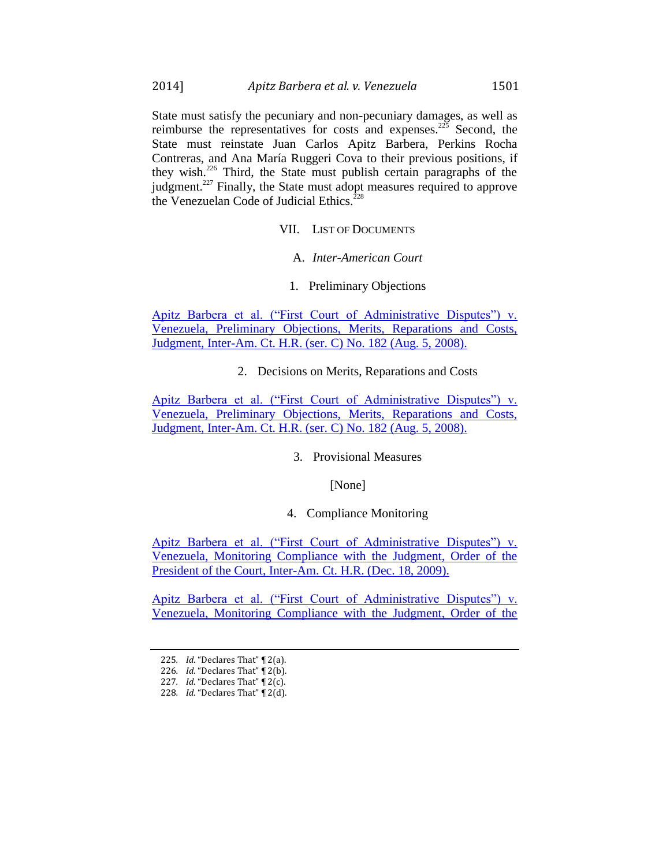State must satisfy the pecuniary and non-pecuniary damages, as well as reimburse the representatives for costs and expenses.<sup>225</sup> Second, the State must reinstate Juan Carlos Apitz Barbera, Perkins Rocha Contreras, and Ana María Ruggeri Cova to their previous positions, if they wish.<sup>226</sup> Third, the State must publish certain paragraphs of the judgment.<sup>227</sup> Finally, the State must adopt measures required to approve the Venezuelan Code of Judicial Ethics.<sup>2</sup>

VII. LIST OF DOCUMENTS

A. *Inter-American Court*

1. Preliminary Objections

[Apitz Barbera et al. \("First Court of Administrative Disputes"\) v.](https://iachr.lls.edu/sites/iachr.lls.edu/files/iachr/Court_and_Commission_Documents/Apitz-Barbera%20et%20al.%20%28G%C3%87%C2%A3First%20Court%20of%20Administrative%20DisputesG%C3%87%C2%A5%29%20v.%20Venezuela.Merits.08.05.08.pdf)  [Venezuela, Preliminary Objections, Merits, Reparations and Costs,](https://iachr.lls.edu/sites/iachr.lls.edu/files/iachr/Court_and_Commission_Documents/Apitz-Barbera%20et%20al.%20%28G%C3%87%C2%A3First%20Court%20of%20Administrative%20DisputesG%C3%87%C2%A5%29%20v.%20Venezuela.Merits.08.05.08.pdf)  [Judgment, Inter-Am. Ct. H.R. \(ser. C\) No. 182 \(Aug. 5, 2008\).](https://iachr.lls.edu/sites/iachr.lls.edu/files/iachr/Court_and_Commission_Documents/Apitz-Barbera%20et%20al.%20%28G%C3%87%C2%A3First%20Court%20of%20Administrative%20DisputesG%C3%87%C2%A5%29%20v.%20Venezuela.Merits.08.05.08.pdf)

2. Decisions on Merits, Reparations and Costs

[Apitz Barbera et al. \("First Court of Administrative Disputes"\) v.](https://iachr.lls.edu/sites/iachr.lls.edu/files/iachr/Court_and_Commission_Documents/Apitz-Barbera%20et%20al.%20%28G%C3%87%C2%A3First%20Court%20of%20Administrative%20DisputesG%C3%87%C2%A5%29%20v.%20Venezuela.Merits.08.05.08.pdf)  [Venezuela, Preliminary Objections, Merits, Reparations and Costs,](https://iachr.lls.edu/sites/iachr.lls.edu/files/iachr/Court_and_Commission_Documents/Apitz-Barbera%20et%20al.%20%28G%C3%87%C2%A3First%20Court%20of%20Administrative%20DisputesG%C3%87%C2%A5%29%20v.%20Venezuela.Merits.08.05.08.pdf)  [Judgment, Inter-Am. Ct. H.R. \(ser. C\) No. 182 \(Aug. 5, 2008\).](https://iachr.lls.edu/sites/iachr.lls.edu/files/iachr/Court_and_Commission_Documents/Apitz-Barbera%20et%20al.%20%28G%C3%87%C2%A3First%20Court%20of%20Administrative%20DisputesG%C3%87%C2%A5%29%20v.%20Venezuela.Merits.08.05.08.pdf)

3. Provisional Measures

[None]

#### 4. Compliance Monitoring

[Apitz Barbera et al. \("First Court of Administrative Disputes"\) v.](https://iachr.lls.edu/sites/iachr.lls.edu/files/iachr/Court_and_Commission_Documents/Apitz-Barbera%20et%20al.%20%28G%C3%87%C2%A3First%20Court%20of%20Administrative%20DisputesG%C3%87%C2%A5%29%20v.%20Venezuela.MonitoringCompliance.12.18.09.S.pdf)  [Venezuela, Monitoring Compliance with the Judgment, Order of the](https://iachr.lls.edu/sites/iachr.lls.edu/files/iachr/Court_and_Commission_Documents/Apitz-Barbera%20et%20al.%20%28G%C3%87%C2%A3First%20Court%20of%20Administrative%20DisputesG%C3%87%C2%A5%29%20v.%20Venezuela.MonitoringCompliance.12.18.09.S.pdf)  [President of the Court, Inter-Am. Ct. H.R. \(Dec. 18, 2009\).](https://iachr.lls.edu/sites/iachr.lls.edu/files/iachr/Court_and_Commission_Documents/Apitz-Barbera%20et%20al.%20%28G%C3%87%C2%A3First%20Court%20of%20Administrative%20DisputesG%C3%87%C2%A5%29%20v.%20Venezuela.MonitoringCompliance.12.18.09.S.pdf)

[Apitz Barbera et al. \("First Court of Administrative Disputes"\) v.](https://iachr.lls.edu/sites/iachr.lls.edu/files/iachr/Court_and_Commission_Documents/Apitz-Barbera%20et%20al.%20%28G%C3%87%C2%A3First%20Court%20of%20Administrative%20DisputesG%C3%87%C2%A5%29%20v.%20Venezuela.MonitoringCompliance.11.23.12.pdf)  [Venezuela, Monitoring Compliance with the Judgment, Order of the](https://iachr.lls.edu/sites/iachr.lls.edu/files/iachr/Court_and_Commission_Documents/Apitz-Barbera%20et%20al.%20%28G%C3%87%C2%A3First%20Court%20of%20Administrative%20DisputesG%C3%87%C2%A5%29%20v.%20Venezuela.MonitoringCompliance.11.23.12.pdf) 

<sup>225</sup>*. Id*. "Declares That" ¶ 2(a).

<sup>226</sup>*. Id*. "Declares That" ¶ 2(b).

<sup>227</sup>*. Id*. "Declares That" ¶ 2(c).

<sup>228</sup>*. Id*. "Declares That" ¶ 2(d).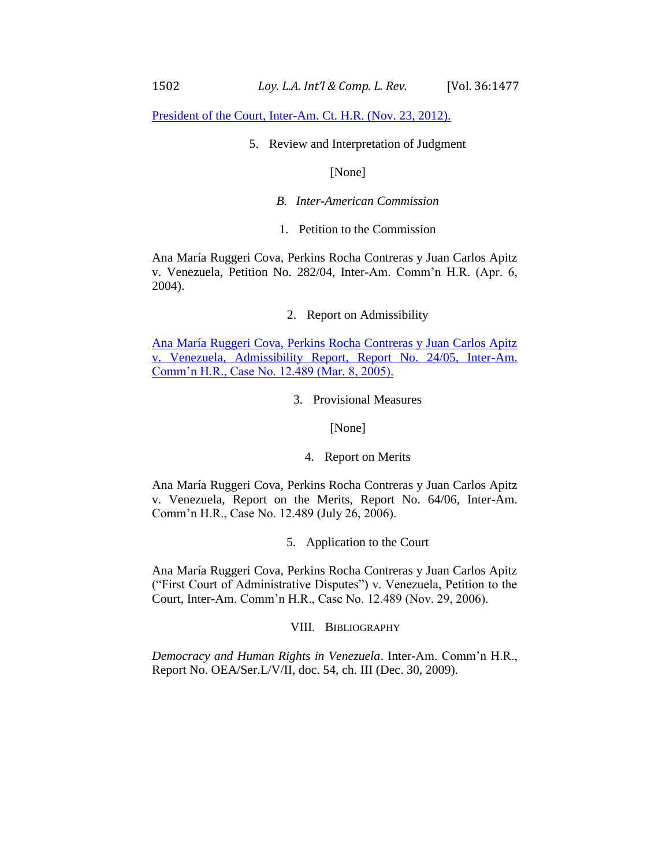[President of the Court, Inter-Am. Ct. H.R. \(Nov. 23, 2012\).](https://iachr.lls.edu/sites/iachr.lls.edu/files/iachr/Court_and_Commission_Documents/Apitz-Barbera%20et%20al.%20%28G%C3%87%C2%A3First%20Court%20of%20Administrative%20DisputesG%C3%87%C2%A5%29%20v.%20Venezuela.MonitoringCompliance.11.23.12.pdf)

5. Review and Interpretation of Judgment

[None]

- *B. Inter-American Commission*
- 1. Petition to the Commission

Ana María Ruggeri Cova, Perkins Rocha Contreras y Juan Carlos Apitz v. Venezuela, Petition No. 282/04, Inter-Am. Comm'n H.R. (Apr. 6, 2004).

2. Report on Admissibility

[Ana María Ruggeri Cova, Perkins Rocha Contreras y Juan Carlos Apitz](https://iachr.lls.edu/sites/iachr.lls.edu/files/iachr/Court_and_Commission_Documents/Apitz-Barbera%20et%20al.%20%28G%C3%87%C2%A3First%20Court%20of%20Administrative%20DisputesG%C3%87%C2%A5%29%20v.%20Venezuela.AdmissibilityReport.03.08.05.pdf)  [v. Venezuela, Admissibility Report, Report No. 24/05, Inter-Am.](https://iachr.lls.edu/sites/iachr.lls.edu/files/iachr/Court_and_Commission_Documents/Apitz-Barbera%20et%20al.%20%28G%C3%87%C2%A3First%20Court%20of%20Administrative%20DisputesG%C3%87%C2%A5%29%20v.%20Venezuela.AdmissibilityReport.03.08.05.pdf)  [Comm'n H.R., Case No. 12.489 \(Mar. 8, 2005\).](https://iachr.lls.edu/sites/iachr.lls.edu/files/iachr/Court_and_Commission_Documents/Apitz-Barbera%20et%20al.%20%28G%C3%87%C2%A3First%20Court%20of%20Administrative%20DisputesG%C3%87%C2%A5%29%20v.%20Venezuela.AdmissibilityReport.03.08.05.pdf)

3. Provisional Measures

[None]

4. Report on Merits

Ana María Ruggeri Cova, Perkins Rocha Contreras y Juan Carlos Apitz v. Venezuela, Report on the Merits, Report No. 64/06, Inter-Am. Comm'n H.R., Case No. 12.489 (July 26, 2006).

5. Application to the Court

Ana María Ruggeri Cova, Perkins Rocha Contreras y Juan Carlos Apitz ("First Court of Administrative Disputes") v. Venezuela, Petition to the Court, Inter-Am. Comm'n H.R., Case No. 12.489 (Nov. 29, 2006).

VIII. BIBLIOGRAPHY

*Democracy and Human Rights in Venezuela*. Inter-Am. Comm'n H.R., Report No. OEA/Ser.L/V/II, doc. 54, ch. III (Dec. 30, 2009).